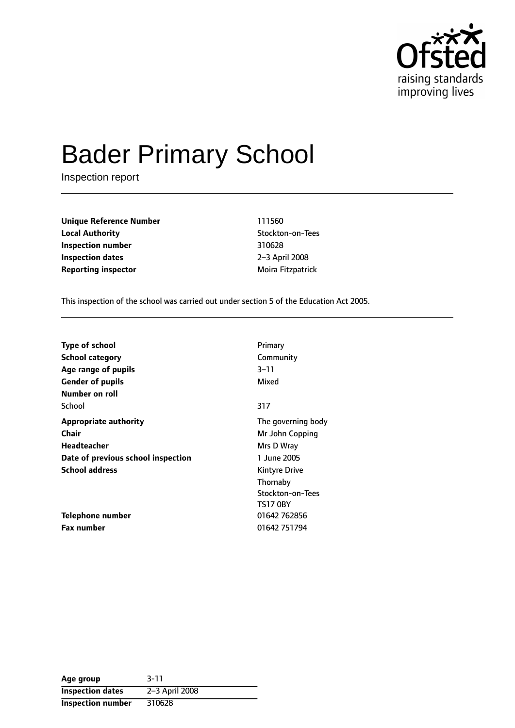

# Bader Primary School

Inspection report

**Unique Reference Number** 111560 **Local Authority Contract Contract Contract Contract Contract Contract Contract Contract Contract Contract Contract Contract Contract Contract Contract Contract Contract Contract Contract Contract Contract Contract Contr Inspection number** 310628 **Inspection dates** 2-3 April 2008 **Reporting inspector** Moira Fitzpatrick

This inspection of the school was carried out under section 5 of the Education Act 2005.

| <b>Type of school</b>              | Primary              |
|------------------------------------|----------------------|
| <b>School category</b>             | Community            |
| Age range of pupils                | $3 - 11$             |
| <b>Gender of pupils</b>            | Mixed                |
| Number on roll                     |                      |
| School                             | 317                  |
| <b>Appropriate authority</b>       | The governing body   |
| <b>Chair</b>                       | Mr John Copping      |
| Headteacher                        | Mrs D Wray           |
| Date of previous school inspection | 1 June 2005          |
| <b>School address</b>              | <b>Kintyre Drive</b> |
|                                    | Thornaby             |
|                                    | Stockton-on-Tees     |
|                                    | <b>TS17 0BY</b>      |
| Telephone number                   | 01642 762856         |
| <b>Fax number</b>                  | 01642 751794         |

| Age group                | $3 - 11$       |
|--------------------------|----------------|
| <b>Inspection dates</b>  | 2-3 April 2008 |
| <b>Inspection number</b> | 310628         |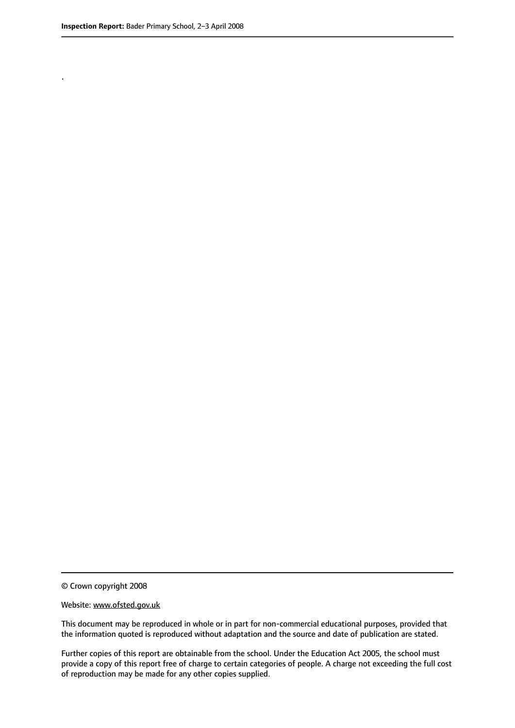.

© Crown copyright 2008

#### Website: www.ofsted.gov.uk

This document may be reproduced in whole or in part for non-commercial educational purposes, provided that the information quoted is reproduced without adaptation and the source and date of publication are stated.

Further copies of this report are obtainable from the school. Under the Education Act 2005, the school must provide a copy of this report free of charge to certain categories of people. A charge not exceeding the full cost of reproduction may be made for any other copies supplied.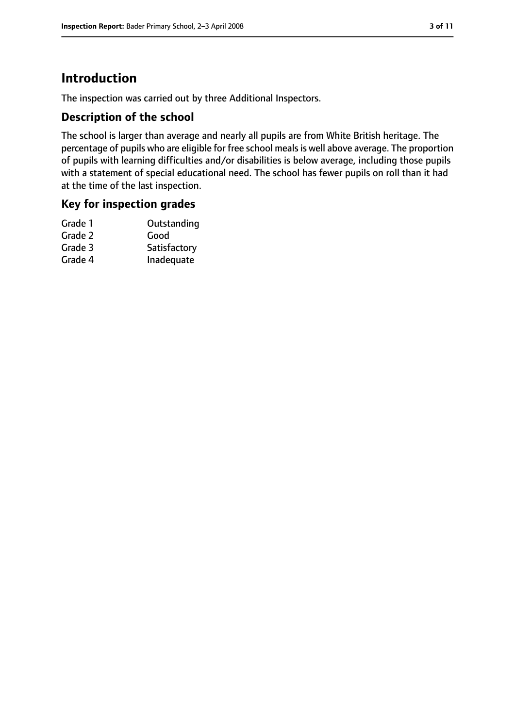# **Introduction**

The inspection was carried out by three Additional Inspectors.

## **Description of the school**

The school is larger than average and nearly all pupils are from White British heritage. The percentage of pupils who are eligible for free school meals is well above average. The proportion of pupils with learning difficulties and/or disabilities is below average, including those pupils with a statement of special educational need. The school has fewer pupils on roll than it had at the time of the last inspection.

## **Key for inspection grades**

| Grade 1 | Outstanding  |
|---------|--------------|
| Grade 2 | Good         |
| Grade 3 | Satisfactory |
| Grade 4 | Inadequate   |
|         |              |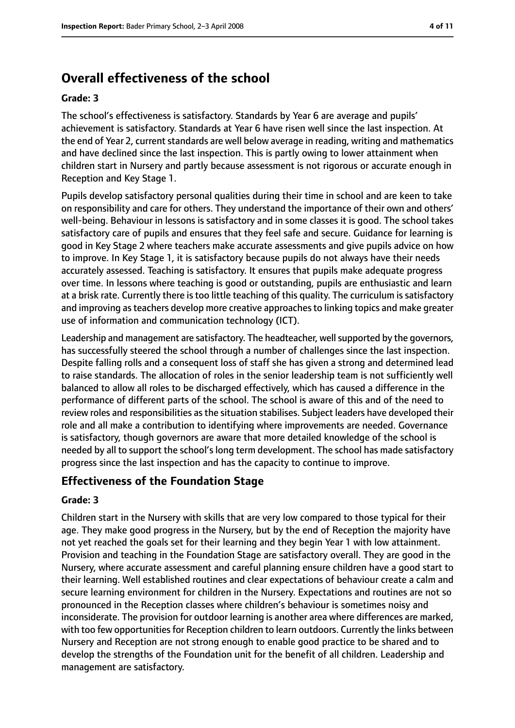# **Overall effectiveness of the school**

#### **Grade: 3**

The school's effectiveness is satisfactory. Standards by Year 6 are average and pupils' achievement is satisfactory. Standards at Year 6 have risen well since the last inspection. At the end of Year 2, current standards are well below average in reading, writing and mathematics and have declined since the last inspection. This is partly owing to lower attainment when children start in Nursery and partly because assessment is not rigorous or accurate enough in Reception and Key Stage 1.

Pupils develop satisfactory personal qualities during their time in school and are keen to take on responsibility and care for others. They understand the importance of their own and others' well-being. Behaviour in lessons is satisfactory and in some classes it is good. The school takes satisfactory care of pupils and ensures that they feel safe and secure. Guidance for learning is good in Key Stage 2 where teachers make accurate assessments and give pupils advice on how to improve. In Key Stage 1, it is satisfactory because pupils do not always have their needs accurately assessed. Teaching is satisfactory. It ensures that pupils make adequate progress over time. In lessons where teaching is good or outstanding, pupils are enthusiastic and learn at a brisk rate. Currently there is too little teaching of this quality. The curriculum is satisfactory and improving asteachers develop more creative approachesto linking topics and make greater use of information and communication technology (ICT).

Leadership and management are satisfactory. The headteacher, well supported by the governors, has successfully steered the school through a number of challenges since the last inspection. Despite falling rolls and a consequent loss of staff she has given a strong and determined lead to raise standards. The allocation of roles in the senior leadership team is not sufficiently well balanced to allow all roles to be discharged effectively, which has caused a difference in the performance of different parts of the school. The school is aware of this and of the need to review roles and responsibilities as the situation stabilises. Subject leaders have developed their role and all make a contribution to identifying where improvements are needed. Governance is satisfactory, though governors are aware that more detailed knowledge of the school is needed by all to support the school's long term development. The school has made satisfactory progress since the last inspection and has the capacity to continue to improve.

## **Effectiveness of the Foundation Stage**

#### **Grade: 3**

Children start in the Nursery with skills that are very low compared to those typical for their age. They make good progress in the Nursery, but by the end of Reception the majority have not yet reached the goals set for their learning and they begin Year 1 with low attainment. Provision and teaching in the Foundation Stage are satisfactory overall. They are good in the Nursery, where accurate assessment and careful planning ensure children have a good start to their learning. Well established routines and clear expectations of behaviour create a calm and secure learning environment for children in the Nursery. Expectations and routines are not so pronounced in the Reception classes where children's behaviour is sometimes noisy and inconsiderate. The provision for outdoor learning is another area where differences are marked, with too few opportunities for Reception children to learn outdoors. Currently the links between Nursery and Reception are not strong enough to enable good practice to be shared and to develop the strengths of the Foundation unit for the benefit of all children. Leadership and management are satisfactory.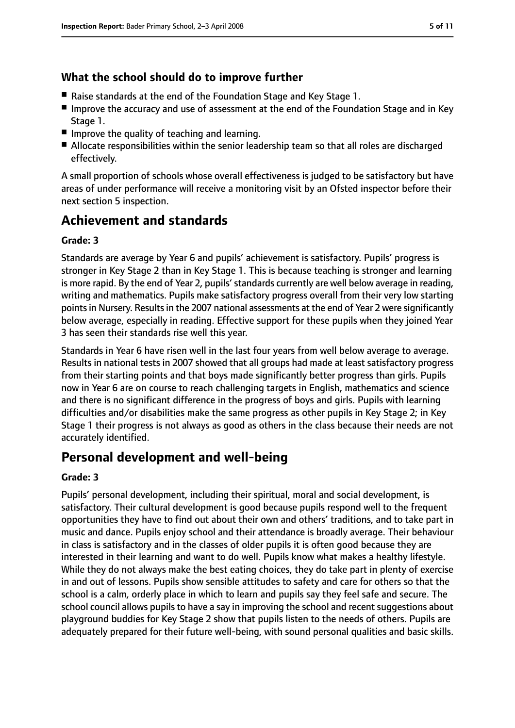## **What the school should do to improve further**

- Raise standards at the end of the Foundation Stage and Key Stage 1.
- Improve the accuracy and use of assessment at the end of the Foundation Stage and in Key Stage 1.
- Improve the quality of teaching and learning.
- Allocate responsibilities within the senior leadership team so that all roles are discharged effectively.

A small proportion of schools whose overall effectiveness is judged to be satisfactory but have areas of under performance will receive a monitoring visit by an Ofsted inspector before their next section 5 inspection.

# **Achievement and standards**

#### **Grade: 3**

Standards are average by Year 6 and pupils' achievement is satisfactory. Pupils' progress is stronger in Key Stage 2 than in Key Stage 1. This is because teaching is stronger and learning is more rapid. By the end of Year 2, pupils' standards currently are well below average in reading, writing and mathematics. Pupils make satisfactory progress overall from their very low starting points in Nursery. Results in the 2007 national assessments at the end of Year 2 were significantly below average, especially in reading. Effective support for these pupils when they joined Year 3 has seen their standards rise well this year.

Standards in Year 6 have risen well in the last four years from well below average to average. Results in national tests in 2007 showed that all groups had made at least satisfactory progress from their starting points and that boys made significantly better progress than girls. Pupils now in Year 6 are on course to reach challenging targets in English, mathematics and science and there is no significant difference in the progress of boys and girls. Pupils with learning difficulties and/or disabilities make the same progress as other pupils in Key Stage 2; in Key Stage 1 their progress is not always as good as others in the class because their needs are not accurately identified.

# **Personal development and well-being**

#### **Grade: 3**

Pupils' personal development, including their spiritual, moral and social development, is satisfactory. Their cultural development is good because pupils respond well to the frequent opportunities they have to find out about their own and others' traditions, and to take part in music and dance. Pupils enjoy school and their attendance is broadly average. Their behaviour in class is satisfactory and in the classes of older pupils it is often good because they are interested in their learning and want to do well. Pupils know what makes a healthy lifestyle. While they do not always make the best eating choices, they do take part in plenty of exercise in and out of lessons. Pupils show sensible attitudes to safety and care for others so that the school is a calm, orderly place in which to learn and pupils say they feel safe and secure. The school council allows pupils to have a say in improving the school and recent suggestions about playground buddies for Key Stage 2 show that pupils listen to the needs of others. Pupils are adequately prepared for their future well-being, with sound personal qualities and basic skills.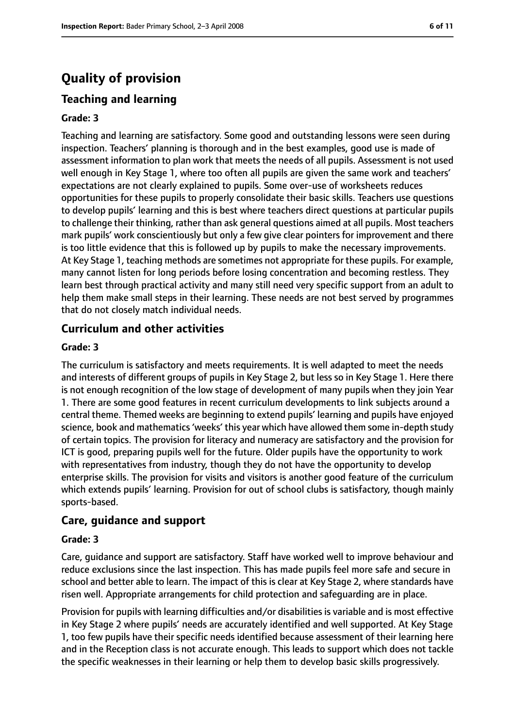# **Quality of provision**

## **Teaching and learning**

#### **Grade: 3**

Teaching and learning are satisfactory. Some good and outstanding lessons were seen during inspection. Teachers' planning is thorough and in the best examples, good use is made of assessment information to plan work that meets the needs of all pupils. Assessment is not used well enough in Key Stage 1, where too often all pupils are given the same work and teachers' expectations are not clearly explained to pupils. Some over-use of worksheets reduces opportunities for these pupils to properly consolidate their basic skills. Teachers use questions to develop pupils' learning and this is best where teachers direct questions at particular pupils to challenge their thinking, rather than ask general questions aimed at all pupils. Most teachers mark pupils' work conscientiously but only a few give clear pointers for improvement and there is too little evidence that this is followed up by pupils to make the necessary improvements. At Key Stage 1, teaching methods are sometimes not appropriate for these pupils. For example, many cannot listen for long periods before losing concentration and becoming restless. They learn best through practical activity and many still need very specific support from an adult to help them make small steps in their learning. These needs are not best served by programmes that do not closely match individual needs.

## **Curriculum and other activities**

#### **Grade: 3**

The curriculum is satisfactory and meets requirements. It is well adapted to meet the needs and interests of different groups of pupils in Key Stage 2, but less so in Key Stage 1. Here there is not enough recognition of the low stage of development of many pupils when they join Year 1. There are some good features in recent curriculum developments to link subjects around a central theme. Themed weeks are beginning to extend pupils' learning and pupils have enjoyed science, book and mathematics'weeks' this year which have allowed them some in-depth study of certain topics. The provision for literacy and numeracy are satisfactory and the provision for ICT is good, preparing pupils well for the future. Older pupils have the opportunity to work with representatives from industry, though they do not have the opportunity to develop enterprise skills. The provision for visits and visitors is another good feature of the curriculum which extends pupils' learning. Provision for out of school clubs is satisfactory, though mainly sports-based.

#### **Care, guidance and support**

#### **Grade: 3**

Care, guidance and support are satisfactory. Staff have worked well to improve behaviour and reduce exclusions since the last inspection. This has made pupils feel more safe and secure in school and better able to learn. The impact of this is clear at Key Stage 2, where standards have risen well. Appropriate arrangements for child protection and safeguarding are in place.

Provision for pupils with learning difficulties and/or disabilities is variable and is most effective in Key Stage 2 where pupils' needs are accurately identified and well supported. At Key Stage 1, too few pupils have their specific needs identified because assessment of their learning here and in the Reception class is not accurate enough. This leads to support which does not tackle the specific weaknesses in their learning or help them to develop basic skills progressively.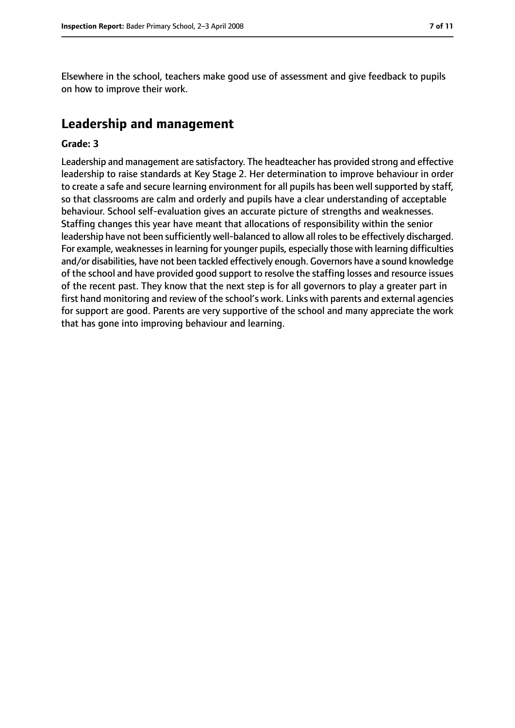Elsewhere in the school, teachers make good use of assessment and give feedback to pupils on how to improve their work.

# **Leadership and management**

#### **Grade: 3**

Leadership and management are satisfactory. The headteacher has provided strong and effective leadership to raise standards at Key Stage 2. Her determination to improve behaviour in order to create a safe and secure learning environment for all pupils has been well supported by staff, so that classrooms are calm and orderly and pupils have a clear understanding of acceptable behaviour. School self-evaluation gives an accurate picture of strengths and weaknesses. Staffing changes this year have meant that allocations of responsibility within the senior leadership have not been sufficiently well-balanced to allow all roles to be effectively discharged. For example, weaknesses in learning for younger pupils, especially those with learning difficulties and/or disabilities, have not been tackled effectively enough. Governors have a sound knowledge of the school and have provided good support to resolve the staffing losses and resource issues of the recent past. They know that the next step is for all governors to play a greater part in first hand monitoring and review of the school's work. Links with parents and external agencies for support are good. Parents are very supportive of the school and many appreciate the work that has gone into improving behaviour and learning.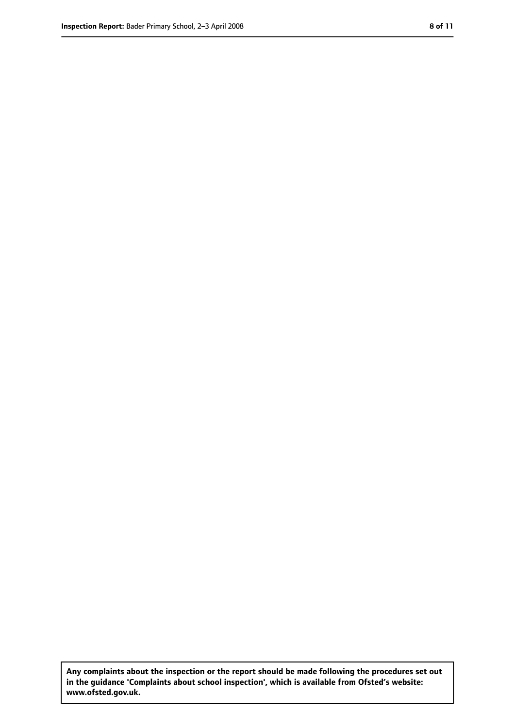**Any complaints about the inspection or the report should be made following the procedures set out in the guidance 'Complaints about school inspection', which is available from Ofsted's website: www.ofsted.gov.uk.**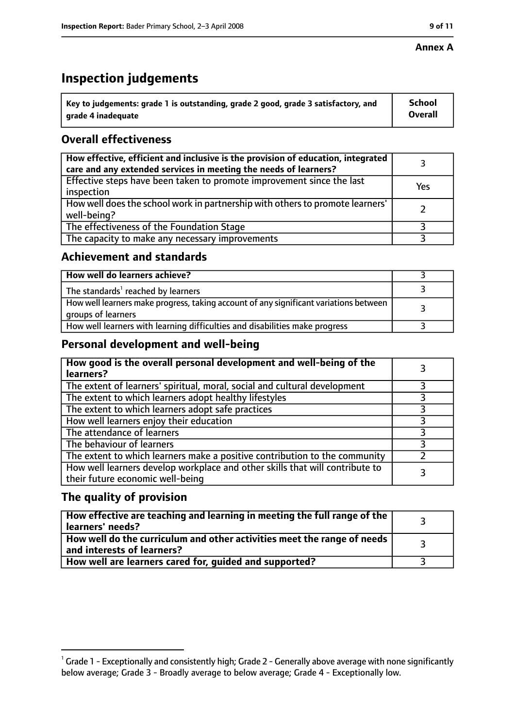#### **Annex A**

# **Inspection judgements**

| $^{\backprime}$ Key to judgements: grade 1 is outstanding, grade 2 good, grade 3 satisfactory, and | <b>School</b>  |
|----------------------------------------------------------------------------------------------------|----------------|
| arade 4 inadeguate                                                                                 | <b>Overall</b> |

# **Overall effectiveness**

| How effective, efficient and inclusive is the provision of education, integrated<br>care and any extended services in meeting the needs of learners? |     |
|------------------------------------------------------------------------------------------------------------------------------------------------------|-----|
| Effective steps have been taken to promote improvement since the last<br>inspection                                                                  | Yes |
| How well does the school work in partnership with others to promote learners'<br>well-being?                                                         |     |
| The effectiveness of the Foundation Stage                                                                                                            |     |
| The capacity to make any necessary improvements                                                                                                      |     |

## **Achievement and standards**

| How well do learners achieve?                                                                               |  |
|-------------------------------------------------------------------------------------------------------------|--|
| The standards <sup>1</sup> reached by learners                                                              |  |
| How well learners make progress, taking account of any significant variations between<br>groups of learners |  |
| How well learners with learning difficulties and disabilities make progress                                 |  |

## **Personal development and well-being**

| How good is the overall personal development and well-being of the<br>learners?                                  |  |
|------------------------------------------------------------------------------------------------------------------|--|
| The extent of learners' spiritual, moral, social and cultural development                                        |  |
| The extent to which learners adopt healthy lifestyles                                                            |  |
| The extent to which learners adopt safe practices                                                                |  |
| How well learners enjoy their education                                                                          |  |
| The attendance of learners                                                                                       |  |
| The behaviour of learners                                                                                        |  |
| The extent to which learners make a positive contribution to the community                                       |  |
| How well learners develop workplace and other skills that will contribute to<br>their future economic well-being |  |

## **The quality of provision**

| How effective are teaching and learning in meeting the full range of the<br>learners' needs?          |  |
|-------------------------------------------------------------------------------------------------------|--|
| How well do the curriculum and other activities meet the range of needs<br>and interests of learners? |  |
| How well are learners cared for, quided and supported?                                                |  |

 $^1$  Grade 1 - Exceptionally and consistently high; Grade 2 - Generally above average with none significantly below average; Grade 3 - Broadly average to below average; Grade 4 - Exceptionally low.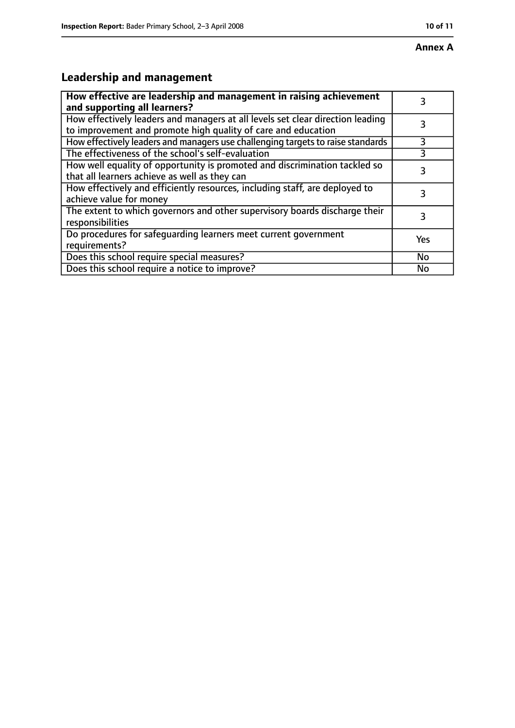# **Annex A**

# **Leadership and management**

| How effective are leadership and management in raising achievement<br>and supporting all learners?                                              |     |
|-------------------------------------------------------------------------------------------------------------------------------------------------|-----|
| How effectively leaders and managers at all levels set clear direction leading<br>to improvement and promote high quality of care and education |     |
| How effectively leaders and managers use challenging targets to raise standards                                                                 | 3   |
| The effectiveness of the school's self-evaluation                                                                                               |     |
| How well equality of opportunity is promoted and discrimination tackled so<br>that all learners achieve as well as they can                     |     |
| How effectively and efficiently resources, including staff, are deployed to<br>achieve value for money                                          | 3   |
| The extent to which governors and other supervisory boards discharge their<br>responsibilities                                                  | 3   |
| Do procedures for safequarding learners meet current government<br>requirements?                                                                | Yes |
| Does this school require special measures?                                                                                                      | No  |
| Does this school require a notice to improve?                                                                                                   | No  |